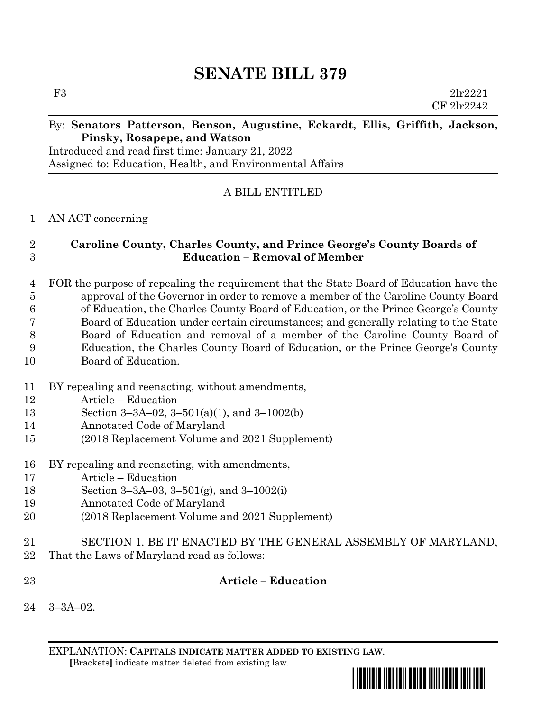# **SENATE BILL 379**

F3 2lr2221

#### By: **Senators Patterson, Benson, Augustine, Eckardt, Ellis, Griffith, Jackson, Pinsky, Rosapepe, and Watson**

Introduced and read first time: January 21, 2022 Assigned to: Education, Health, and Environmental Affairs

# A BILL ENTITLED

### AN ACT concerning

## **Caroline County, Charles County, and Prince George's County Boards of Education – Removal of Member**

 FOR the purpose of repealing the requirement that the State Board of Education have the approval of the Governor in order to remove a member of the Caroline County Board of Education, the Charles County Board of Education, or the Prince George's County Board of Education under certain circumstances; and generally relating to the State Board of Education and removal of a member of the Caroline County Board of Education, the Charles County Board of Education, or the Prince George's County Board of Education.

- BY repealing and reenacting, without amendments,
- Article Education
- Section 3–3A–02, 3–501(a)(1), and 3–1002(b)
- Annotated Code of Maryland
- (2018 Replacement Volume and 2021 Supplement)
- BY repealing and reenacting, with amendments,
- Article Education
- Section 3–3A–03, 3–501(g), and 3–1002(i)
- Annotated Code of Maryland
- (2018 Replacement Volume and 2021 Supplement)
- SECTION 1. BE IT ENACTED BY THE GENERAL ASSEMBLY OF MARYLAND,
- That the Laws of Maryland read as follows:
- **Article – Education**
- 3–3A–02.

EXPLANATION: **CAPITALS INDICATE MATTER ADDED TO EXISTING LAW**.  **[**Brackets**]** indicate matter deleted from existing law.



CF 2lr2242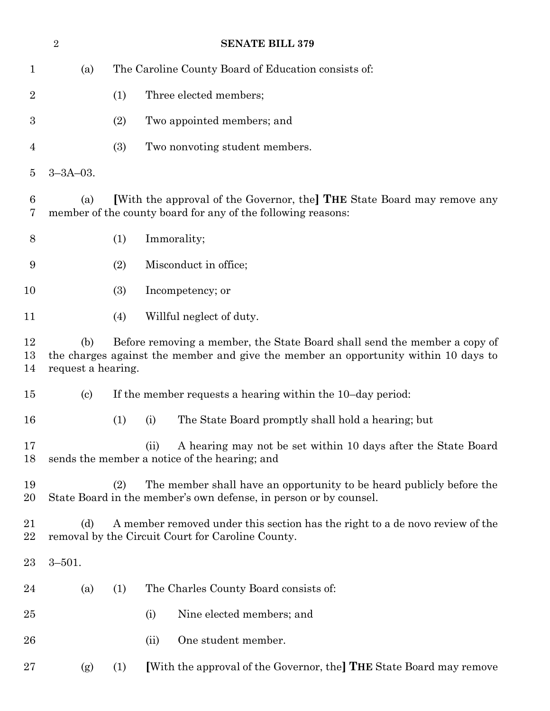|                | $\sqrt{2}$                                                                                                                                                                                    | <b>SENATE BILL 379</b>                              |                                                                                                                                           |  |  |
|----------------|-----------------------------------------------------------------------------------------------------------------------------------------------------------------------------------------------|-----------------------------------------------------|-------------------------------------------------------------------------------------------------------------------------------------------|--|--|
| $\mathbf{1}$   | (a)                                                                                                                                                                                           | The Caroline County Board of Education consists of: |                                                                                                                                           |  |  |
| $\overline{2}$ |                                                                                                                                                                                               | (1)                                                 | Three elected members;                                                                                                                    |  |  |
| 3              |                                                                                                                                                                                               | (2)                                                 | Two appointed members; and                                                                                                                |  |  |
| $\overline{4}$ |                                                                                                                                                                                               | (3)                                                 | Two nonvoting student members.                                                                                                            |  |  |
| $\overline{5}$ | $3 - 3A - 03$ .                                                                                                                                                                               |                                                     |                                                                                                                                           |  |  |
| 6<br>7         | [With the approval of the Governor, the] THE State Board may remove any<br>(a)<br>member of the county board for any of the following reasons:                                                |                                                     |                                                                                                                                           |  |  |
| 8              |                                                                                                                                                                                               | (1)                                                 | Immorality;                                                                                                                               |  |  |
| 9              |                                                                                                                                                                                               | (2)                                                 | Misconduct in office;                                                                                                                     |  |  |
| 10             |                                                                                                                                                                                               | (3)                                                 | Incompetency; or                                                                                                                          |  |  |
| 11             |                                                                                                                                                                                               | (4)                                                 | Willful neglect of duty.                                                                                                                  |  |  |
| 12<br>13<br>14 | Before removing a member, the State Board shall send the member a copy of<br>(b)<br>the charges against the member and give the member an opportunity within 10 days to<br>request a hearing. |                                                     |                                                                                                                                           |  |  |
| 15             | $\left( \mathrm{c}\right)$                                                                                                                                                                    |                                                     | If the member requests a hearing within the 10-day period:                                                                                |  |  |
| 16             |                                                                                                                                                                                               | (1)                                                 | The State Board promptly shall hold a hearing; but<br>(i)                                                                                 |  |  |
| 17<br>18       |                                                                                                                                                                                               |                                                     | A hearing may not be set within 10 days after the State Board<br>(ii)<br>sends the member a notice of the hearing; and                    |  |  |
| 19<br>20       |                                                                                                                                                                                               | (2)                                                 | The member shall have an opportunity to be heard publicly before the<br>State Board in the member's own defense, in person or by counsel. |  |  |
| 21<br>22       | (d)<br>A member removed under this section has the right to a de novo review of the<br>removal by the Circuit Court for Caroline County.                                                      |                                                     |                                                                                                                                           |  |  |
| 23             | $3 - 501.$                                                                                                                                                                                    |                                                     |                                                                                                                                           |  |  |
| 24             | (a)                                                                                                                                                                                           | (1)                                                 | The Charles County Board consists of:                                                                                                     |  |  |
| 25             |                                                                                                                                                                                               |                                                     | Nine elected members; and<br>(i)                                                                                                          |  |  |
| 26             |                                                                                                                                                                                               |                                                     | One student member.<br>(ii)                                                                                                               |  |  |
| 27             | (g)                                                                                                                                                                                           | (1)                                                 | [With the approval of the Governor, the] THE State Board may remove                                                                       |  |  |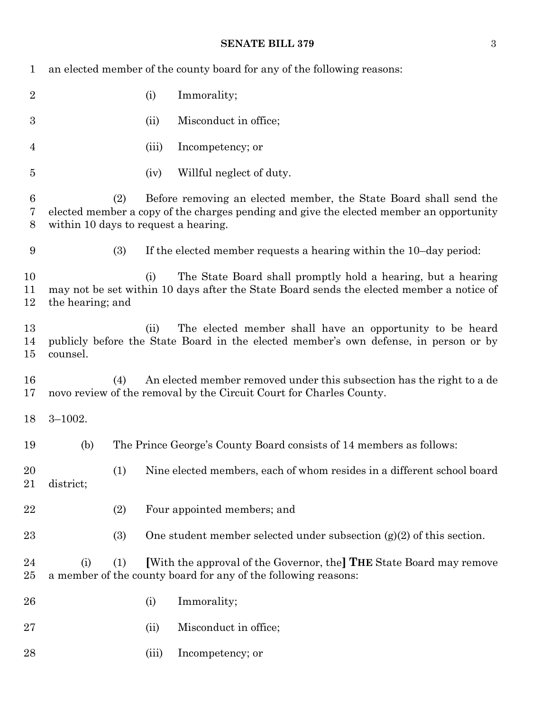#### **SENATE BILL 379** 3

| 1              | an elected member of the county board for any of the following reasons:                                                                                                                                     |       |                                                                                                                                                          |  |  |  |
|----------------|-------------------------------------------------------------------------------------------------------------------------------------------------------------------------------------------------------------|-------|----------------------------------------------------------------------------------------------------------------------------------------------------------|--|--|--|
| $\overline{2}$ |                                                                                                                                                                                                             | (i)   | Immorality;                                                                                                                                              |  |  |  |
| 3              |                                                                                                                                                                                                             | (ii)  | Misconduct in office;                                                                                                                                    |  |  |  |
| $\overline{4}$ |                                                                                                                                                                                                             | (iii) | Incompetency; or                                                                                                                                         |  |  |  |
| $\overline{5}$ |                                                                                                                                                                                                             | (iv)  | Willful neglect of duty.                                                                                                                                 |  |  |  |
| 6<br>7<br>8    | Before removing an elected member, the State Board shall send the<br>(2)<br>elected member a copy of the charges pending and give the elected member an opportunity<br>within 10 days to request a hearing. |       |                                                                                                                                                          |  |  |  |
| 9              | (3)                                                                                                                                                                                                         |       | If the elected member requests a hearing within the 10-day period:                                                                                       |  |  |  |
| 10<br>11<br>12 | the hearing; and                                                                                                                                                                                            | (i)   | The State Board shall promptly hold a hearing, but a hearing<br>may not be set within 10 days after the State Board sends the elected member a notice of |  |  |  |
| 13<br>14<br>15 | counsel.                                                                                                                                                                                                    | (ii)  | The elected member shall have an opportunity to be heard<br>publicly before the State Board in the elected member's own defense, in person or by         |  |  |  |
| 16<br>17       | (4)                                                                                                                                                                                                         |       | An elected member removed under this subsection has the right to a de<br>novo review of the removal by the Circuit Court for Charles County.             |  |  |  |
| 18             | $3 - 1002.$                                                                                                                                                                                                 |       |                                                                                                                                                          |  |  |  |
| 19             | (b)                                                                                                                                                                                                         |       | The Prince George's County Board consists of 14 members as follows:                                                                                      |  |  |  |
| 20<br>21       | (1)<br>district;                                                                                                                                                                                            |       | Nine elected members, each of whom resides in a different school board                                                                                   |  |  |  |
| 22             | (2)                                                                                                                                                                                                         |       | Four appointed members; and                                                                                                                              |  |  |  |
| 23             | (3)                                                                                                                                                                                                         |       | One student member selected under subsection $(g)(2)$ of this section.                                                                                   |  |  |  |
| 24<br>25       | (1)<br>(i)                                                                                                                                                                                                  |       | [With the approval of the Governor, the] THE State Board may remove<br>a member of the county board for any of the following reasons:                    |  |  |  |
| 26             |                                                                                                                                                                                                             | (i)   | Immorality;                                                                                                                                              |  |  |  |
| 27             |                                                                                                                                                                                                             | (ii)  | Misconduct in office;                                                                                                                                    |  |  |  |
| 28             |                                                                                                                                                                                                             | (iii) | Incompetency; or                                                                                                                                         |  |  |  |